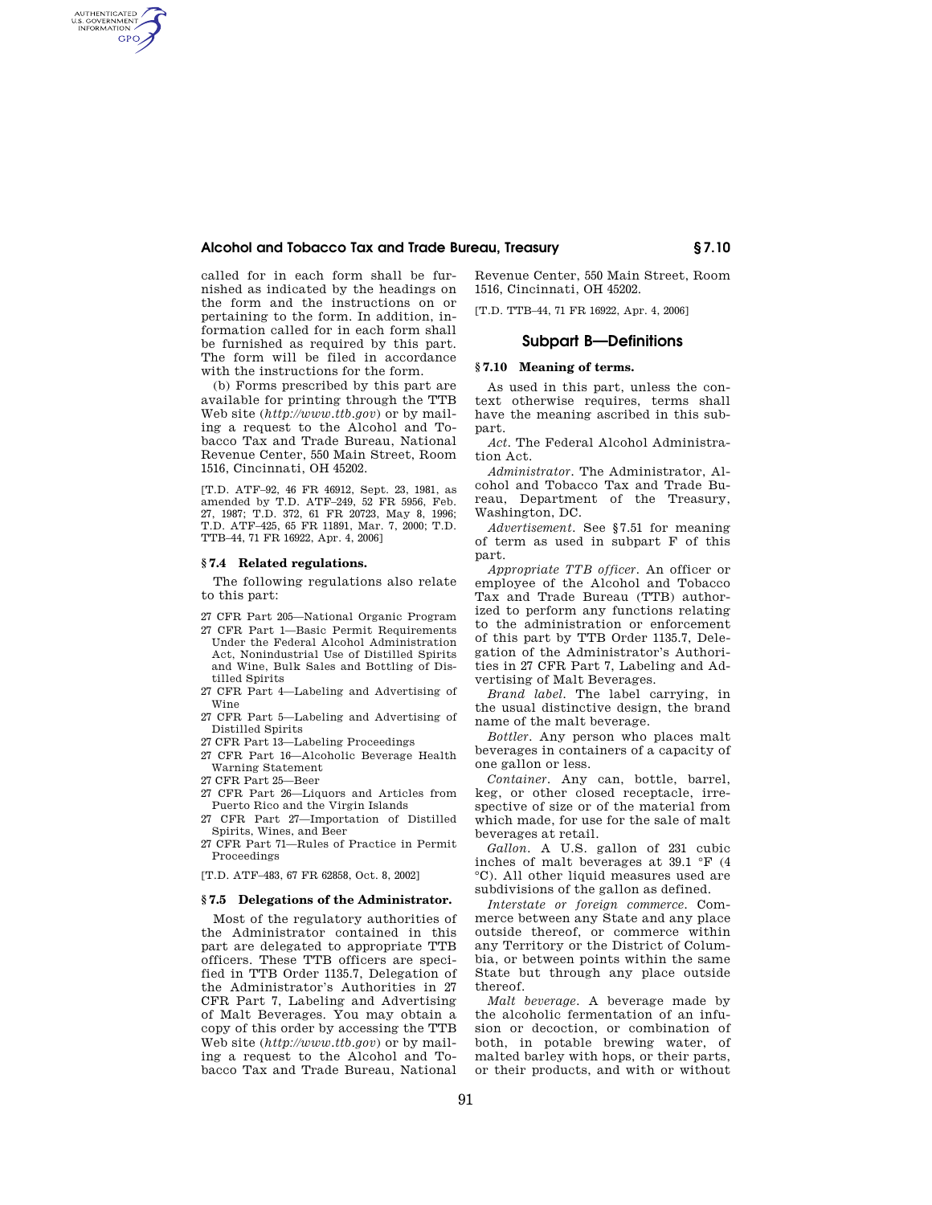# **Alcohol and Tobacco Tax and Trade Bureau, Treasury § 7.10**

called for in each form shall be furnished as indicated by the headings on the form and the instructions on or pertaining to the form. In addition, information called for in each form shall be furnished as required by this part. The form will be filed in accordance with the instructions for the form.

(b) Forms prescribed by this part are available for printing through the TTB Web site (*http://www.ttb.gov*) or by mailing a request to the Alcohol and Tobacco Tax and Trade Bureau, National Revenue Center, 550 Main Street, Room 1516, Cincinnati, OH 45202.

[T.D. ATF–92, 46 FR 46912, Sept. 23, 1981, as amended by T.D. ATF–249, 52 FR 5956, Feb. 27, 1987; T.D. 372, 61 FR 20723, May 8, 1996; T.D. ATF–425, 65 FR 11891, Mar. 7, 2000; T.D. TTB–44, 71 FR 16922, Apr. 4, 2006]

## **§ 7.4 Related regulations.**

AUTHENTICATED<br>U.S. GOVERNMENT<br>INFORMATION **GPO** 

> The following regulations also relate to this part:

- 27 CFR Part 205—National Organic Program
- 27 CFR Part 1—Basic Permit Requirements Under the Federal Alcohol Administration Act, Nonindustrial Use of Distilled Spirits and Wine, Bulk Sales and Bottling of Distilled Spirits
- 27 CFR Part 4—Labeling and Advertising of Wine
- 27 CFR Part 5—Labeling and Advertising of Distilled Spirits
- 27 CFR Part 13—Labeling Proceedings
- 27 CFR Part 16—Alcoholic Beverage Health Warning Statement
- 27 CFR Part 25—Beer
- 27 CFR Part 26—Liquors and Articles from Puerto Rico and the Virgin Islands
- 27 CFR Part 27—Importation of Distilled Spirits, Wines, and Beer

27 CFR Part 71—Rules of Practice in Permit Proceedings

[T.D. ATF–483, 67 FR 62858, Oct. 8, 2002]

# **§ 7.5 Delegations of the Administrator.**

Most of the regulatory authorities of the Administrator contained in this part are delegated to appropriate TTB officers. These TTB officers are specified in TTB Order 1135.7, Delegation of the Administrator's Authorities in 27 CFR Part 7, Labeling and Advertising of Malt Beverages. You may obtain a copy of this order by accessing the TTB Web site (*http://www.ttb.gov*) or by mailing a request to the Alcohol and Tobacco Tax and Trade Bureau, National

Revenue Center, 550 Main Street, Room 1516, Cincinnati, OH 45202.

[T.D. TTB–44, 71 FR 16922, Apr. 4, 2006]

# **Subpart B—Definitions**

## **§ 7.10 Meaning of terms.**

As used in this part, unless the context otherwise requires, terms shall have the meaning ascribed in this subpart.

*Act.* The Federal Alcohol Administration Act.

*Administrator.* The Administrator, Alcohol and Tobacco Tax and Trade Bureau, Department of the Treasury, Washington, DC.

*Advertisement.* See §7.51 for meaning of term as used in subpart F of this part.

*Appropriate TTB officer.* An officer or employee of the Alcohol and Tobacco Tax and Trade Bureau (TTB) authorized to perform any functions relating to the administration or enforcement of this part by TTB Order 1135.7, Delegation of the Administrator's Authorities in 27 CFR Part 7, Labeling and Advertising of Malt Beverages.

*Brand label.* The label carrying, in the usual distinctive design, the brand name of the malt beverage.

*Bottler.* Any person who places malt beverages in containers of a capacity of one gallon or less.

*Container.* Any can, bottle, barrel, keg, or other closed receptacle, irrespective of size or of the material from which made, for use for the sale of malt beverages at retail.

*Gallon.* A U.S. gallon of 231 cubic inches of malt beverages at 39.1 °F (4 °C). All other liquid measures used are subdivisions of the gallon as defined.

*Interstate or foreign commerce.* Commerce between any State and any place outside thereof, or commerce within any Territory or the District of Columbia, or between points within the same State but through any place outside thereof.

*Malt beverage.* A beverage made by the alcoholic fermentation of an infusion or decoction, or combination of both, in potable brewing water, of malted barley with hops, or their parts, or their products, and with or without